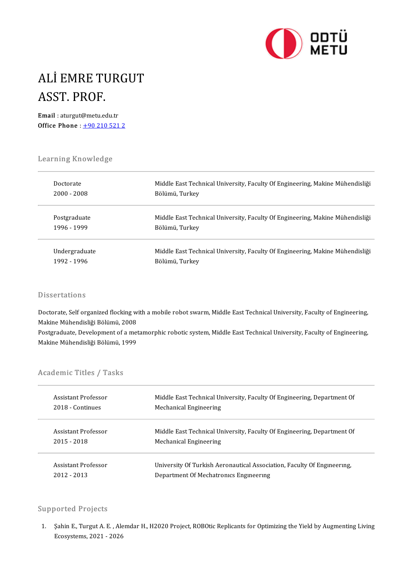

# ALİ EMRE TURGUT<br>ASST PROF ALİ EMRE TU<br>ASST. PROF.<br><sup>Email</sup> : aturgut@metu.ed ASST. PROF.<br>Email : aturgut@metu.edu.tr

Office Phone :  $+902105212$ 

# Learning Knowledge<br>Learning Knowledge

| Learning Knowledge |                                                                               |
|--------------------|-------------------------------------------------------------------------------|
| Doctorate          | Middle East Technical University, Faculty Of Engineering, Makine Mühendisliği |
| 2000 - 2008        | Bölümü, Turkey                                                                |
| Postgraduate       | Middle East Technical University, Faculty Of Engineering, Makine Mühendisliği |
| 1996 - 1999        | Bölümü, Turkey                                                                |
| Undergraduate      | Middle East Technical University, Faculty Of Engineering, Makine Mühendisliği |
| 1992 - 1996        | Bölümü, Turkey                                                                |

#### **Dissertations**

Dissertations<br>Doctorate, Self organized flocking with a mobile robot swarm, Middle East Technical University, Faculty of Engineering,<br>Makine Mikendieliği Bölümü, 2009 Masser tatrons<br>Doctorate, Self organized flocking w<br>Makine Mühendisliği Bölümü, 2008<br>Postavaduate, Develenment of a mat Doctorate, Self organized flocking with a mobile robot swarm, Middle East Technical University, Faculty of Engineering,<br>Makine Mühendisliği Bölümü, 2008<br>Postgraduate, Development of a metamorphic robotic system, Middle Eas

Makine Mühendisliği Bölümü, 2008<br>Postgraduate, Development of a metamorphic robotic system, Middle East Technical University, Faculty of Engineering,<br>Makine Mühendisliği Bölümü, 1999

| Makine Munendisiigi Bolumu, 1  |  |
|--------------------------------|--|
| <b>Academic Titles / Tasks</b> |  |

| Academic Titles / Tasks |                                                                         |  |
|-------------------------|-------------------------------------------------------------------------|--|
| Assistant Professor     | Middle East Technical University, Faculty Of Engineering, Department Of |  |
| 2018 - Continues        | Mechanical Engineering                                                  |  |
| Assistant Professor     | Middle East Technical University, Faculty Of Engineering, Department Of |  |
| 2015 - 2018             | Mechanical Engineering                                                  |  |
| Assistant Professor     | University Of Turkish Aeronautical Association, Faculty Of Engineering, |  |
| $2012 - 2013$           | Department Of Mechatronics Engineering                                  |  |

#### Supported Projects

upported Projects<br>1. Sahin E., Turgut A. E. , Alemdar H., H2020 Project, ROBOtic Replicants for Optimizing the Yield by Augmenting Living<br>Feogystams, 2021, 2026 Sorted Trojects<br>Sahin E., Turgut A. E. , Ale<br>Ecosystems, 2021 - 2026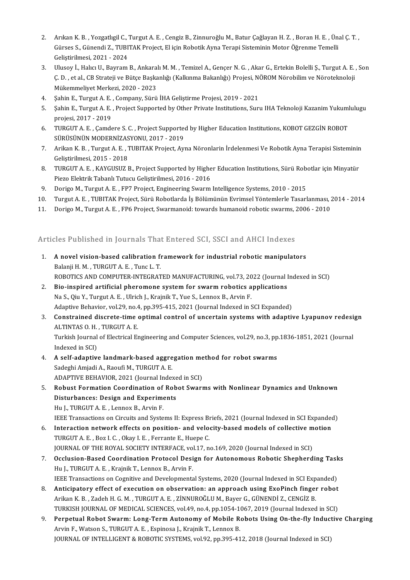- 2. Arıkan K. B. , Yozgatlıgil C., Turgut A. E. , Cengiz B., Zinnuroğlu M., Batur Çağlayan H. Z. , Boran H. E. , Ünal Ç. T. ,<br>Gürese S. Günendi Z. TUBITAK Preject. El isin Bobatik Ayna Tereni Sisteminin Mater Öğrenme Temell Arıkan K. B. , Yozgatlıgil C., Turgut A. E. , Cengiz B., Zinnuroğlu M., Batur Çağlayan H. Z. , Boran H. E. , Ün<br>Gürses S., Günendi Z., TUBITAK Project, El için Robotik Ayna Terapi Sisteminin Motor Öğrenme Temelli Arıkan K. B. , Yozgatlıgil C., '<br>Gürses S., Günendi Z., TUBI'<br>Geliştirilmesi, 2021 - 2024<br>Ulusev İ. Halva U. Bayram 3. Gürses S., Günendi Z., TUBITAK Project, El için Robotik Ayna Terapi Sisteminin Motor Öğrenme Temelli<br>3. Ulusoy İ., Halıcı U., Bayram B., Ankaralı M. M. , Temizel A., Gençer N. G. , Akar G., Ertekin Bolelli Ş., Turgut A.
- Geliştirilmesi, 2021 2024<br>Ulusoy İ., Halıcı U., Bayram B., Ankaralı M. M. , Temizel A., Gençer N. G. , Akar G., Ertekin Bolelli Ş., Turgut A. E.<br>Ç. D. , et al., CB Strateji ve Bütçe Başkanlığı (Kalkınma Bakanlığı) Projes Ulusoy İ., Halıcı U., Bayram B., Ankara<br>Ç. D. , et al., CB Strateji ve Bütçe Başka<br>Mükemmeliyet Merkezi, 2020 - 2023<br>Sahin E. Turgut A. E., Company, Sürü 5. Ç. D. , et al., CB Strateji ve Bütçe Başkanlığı (Kalkınma Bakanlığı) Projesi, New Mükemmeliyet Merkezi, 2020 - 2023<br>4. Şahin E., Turgut A. E. , Company, Sürü İHA Geliştirme Projesi, 2019 - 2021<br>5. Sahin E. Turgut A. E.,
- 
- 5. Sahin E., Turgut A. E. , Company, Sürü İHA Geliştirme Projesi, 2019 2021<br>5. Sahin E., Turgut A. E. , Project Supported by Other Private Institutions, Suru IHA Teknoloji Kazanim Yukumlulugu<br>5. Sahin E., Turgut A. E. , Sahin E., Turgut A. E.<br>Sahin E., Turgut A. E.<br>projesi, 2017 - 2019<br>TURCUT A. E., Camer 5. Şahin E., Turgut A. E. , Project Supported by Other Private Institutions, Suru IHA Teknoloji Kazanim Yukuml<br>projesi, 2017 - 2019<br>6. TURGUT A. E. , Çamdere S. C. , Project Supported by Higher Education Institutions, KOBO
- projesi, 2017 2019<br>TURGUT A. E. , Çamdere S. C. , Project Supporteo<br>SÜRÜSÜNÜN MODERNİZASYONU, 2017 2019<br>Arikan K. B. Turgut A. E. TURITAK Project, Au 6. TURGUT A. E. , Çamdere S. C. , Project Supported by Higher Education Institutions, KOBOT GEZGİN ROBOT<br>SÜRÜSÜNÜN MODERNİZASYONU, 2017 - 2019<br>7. Arikan K. B. , Turgut A. E. , TUBITAK Project, Ayna Nöronlarin İrdelenmesi V
- SÜRÜSÜNÜN MODERNİZASYONU, 2017 2019<br>7. Arikan K. B. , Turgut A. E. , TUBITAK Project, Ayna Nöronlarin İrdelenmesi Ve Robotik Ayna Terapisi Sisteminin<br>6. Gelistirilmesi, 2015 2018 8. Arikan K. B. , Turgut A. E. , TUBITAK Project, Ayna Nöronlarin İrdelenmesi Ve Robotik Ayna Terapisi Sisteminin<br>6. Geliştirilmesi, 2015 - 2018<br>8. TURGUT A. E. , KAYGUSUZ B., Project Supported by Higher Education Institut
- Geliştirilmesi, 2015 2018<br>TURGUT A. E. , KAYGUSUZ B., Project Supported by Highe<br>Piezo Elektrik Tabanlı Tutucu Geliştirilmesi, 2016 2016<br>Porige M. Turgut A. E., EPZ Project, Engineering Supum 9. TURGUT A. E. , KAYGUSUZ B., Project Supported by Higher Education Institutions, Sürü Rob.<br>Piezo Elektrik Tabanlı Tutucu Geliştirilmesi, 2016 - 2016<br>9. Dorigo M., Turgut A. E. , FP7 Project, Engineering Swarm Intelligenc 11. Piezo Elektrik Tabanlı Tutucu Geliştirilmesi, 2016 - 2016<br>10. Dorigo M., Turgut A. E. , FP7 Project, Engineering Swarm Intelligence Systems, 2010 - 2015<br>11. Dorigo M. Turgut A. E., FUBITAK Project, Sürü Robotlarda İş B
- 
- 9. Dorigo M., Turgut A. E. , FP7 Project, Engineering Swarm Intelligence Systems, 2010 2015<br>10. Turgut A. E. , TUBITAK Project, Sürü Robotlarda İş Bölümünün Evrimsel Yöntemlerle Tasarlanması, 2<br>11. Dorigo M.,
- 11. Dorigo M., Turgut A. E. , FP6 Project, Swarmanoid: towards humanoid robotic swarms, 2006 2010<br>Articles Published in Journals That Entered SCI. SSCI and AHCI Indexes

- Similar Commission Commission and September 1.<br>1. A novel vision-based calibration framework for industrial robotic manipulators<br>Ralanii H.M., TURGUTA E. Tung L.T. A novel vision-based calibration fi<br>Balanji H. M. , TURGUT A. E. , Tunc L. T.<br>BOBOTICS AND COMBUTED INTECRAT Balanji H. M. , TURGUT A. E. , Tunc L. T.<br>ROBOTICS AND COMPUTER-INTEGRATED MANUFACTURING, vol.73, 2022 (Journal Indexed in SCI)
- 2. Bio-inspired artificial pheromone system for swarm robotics applications ROBOTICS AND COMPUTER-INTEGRATED MANUFACTURING, vol.73, 20<br>Bio-inspired artificial pheromone system for swarm robotics a<br>Na S., Qiu Y., Turgut A. E. , Ulrich J., Krajnik T., Yue S., Lennox B., Arvin F.<br>Adaptive Pehavier vo Bio-inspired artificial pheromone system for swarm robotics applications<br>Na S., Qiu Y., Turgut A. E. , Ulrich J., Krajnik T., Yue S., Lennox B., Arvin F.<br>Adaptive Behavior, vol.29, no.4, pp.395-415, 2021 (Journal Indexed i Na S., Qiu Y., Turgut A. E. , Ulrich J., Krajnik T., Yue S., Lennox B., Arvin F.<br>Adaptive Behavior, vol.29, no.4, pp.395-415, 2021 (Journal Indexed in SCI Expanded)<br>3. Constrained discrete-time optimal control of uncertain
- Adaptive Behavior, vol.29, no.4<br>**Constrained discrete-time**<br>ALTINTAS O. H. , TURGUT A. E.<br>Turkich Journal of Electrical Ex Constrained discrete-time optimal control of uncertain systems with adaptive Lyapunov redesi<br>ALTINTAS O. H. , TURGUT A. E.<br>Turkish Journal of Electrical Engineering and Computer Sciences, vol.29, no.3, pp.1836-1851, 2021 ( ALTINTAS O. H. , TURGUT A. E.<br>Turkish Journal of Electrical Engineering and Computer Sciences, vol.29, no.3, pp.1836-1851, 2021 (Journal<br>Indexed in SCI)

- 4. A self-adaptive landmark-based aggregation method for robot swarms Sadeghi Amjadi A., Raoufi M., TURGUT A. E. A self-adaptive landmark-based aggregation me<br>Sadeghi Amjadi A., Raoufi M., TURGUT A. E.<br>ADAPTIVE BEHAVIOR, 2021 (Journal Indexed in SCI)<br>Behust Fermation Coordination of Behet Swan
- Sadeghi Amjadi A., Raoufi M., TURGUT A. E.<br>ADAPTIVE BEHAVIOR, 2021 (Journal Indexed in SCI)<br>5. Robust Formation Coordination of Robot Swarms with Nonlinear Dynamics and Unknown<br>Disturbances: Design and Evneriments ADAPTIVE BEHAVIOR, 2021 (Journal Indexe<br>Robust Formation Coordination of Rob<br>Disturbances: Design and Experiments<br>Hull TUBCUTA E, Lonnov B, Arvin E Robust Formation Coordination of<br>Disturbances: Design and Experime<br>Hu J., TURGUT A. E. , Lennox B., Arvin F.<br><sup>IEEE Trancactions on Circuits and Syste</sup> Disturbances: Design and Experiments<br>Hu J., TURGUT A. E. , Lennox B., Arvin F.<br>IEEE Transactions on Circuits and Systems II: Express Briefs, 2021 (Journal Indexed in SCI Expanded)<br>Interaction network offects on nesition, a Fu J., TURGUT A. E. , Lennox B., Arvin F.<br>IEEE Transactions on Circuits and Systems II: Express Briefs, 2021 (Journal Indexed in SCI Expanded<br>6. Interaction network effects on position- and velocity-based models of collect

- THE Transactions on Circuits and Systems II: Express B<br>**Interaction network effects on position- and velo**<br>TURGUT A. E. , Boz I. C. , Okay I. E. , Ferrante E., Huepe C.<br>JOUPMAL OF THE BOVAL SOCIETY INTEREACE vol.17 .p 6. Interaction network effects on position- and velocity-based models of collective motion<br>TURGUT A. E., Boz I. C., Okay I. E., Ferrante E., Huepe C. JOURNAL OF THE ROYAL SOCIETY INTERFACE, vol.17, no.169, 2020 (Journal Indexed in SCI)
- 7. Occlusion-Based Coordination Protocol Design for Autonomous Robotic Shepherding Tasks Occlusion-Based Coordination Protocol Design for Autonomous Robotic Shepherding Task<br>Hu J., TURGUT A. E. , Krajnik T., Lennox B., Arvin F.<br>IEEE Transactions on Cognitive and Developmental Systems, 2020 (Journal Indexed in 8. Hu J., TURGUT A. E. , Krajnik T., Lennox B., Arvin F.<br>IEEE Transactions on Cognitive and Developmental Systems, 2020 (Journal Indexed in SCI Expanded)<br>8. Anticipatory effect of execution on observation: an approach usin
- IEEE Transactions on Cognitive and Developmental Systems, 2020 (Journal Indexed in SCI Exp<br>Anticipatory effect of execution on observation: an approach using ExoPinch finger<br>Arikan K. B. , Zadeh H. G. M. , TURGUT A. E. , Z Anticipatory effect of execution on observation: an approach using ExoPinch finger robot<br>Arikan K. B. , Zadeh H. G. M. , TURGUT A. E. , ZINNUROĞLU M., Bayer G., GÜNENDİ Z., CENGİZ B. Arikan K. B., Zadeh H. G. M., TURGUT A. E., ZİNNUROĞLU M., Bayer G., GÜNENDİ Z., CENGİZ B.<br>TURKISH JOURNAL OF MEDICAL SCIENCES, vol.49, no.4, pp.1054-1067, 2019 (Journal Indexed in SCI)<br>9. Perpetual Robot Swarm: Long-Term
- TURKISH JOURNAL OF MEDICAL SCIENCES, vol.49, no.4, pp.1054-1067, 2019 (Journal Indexed in SCI)<br>Perpetual Robot Swarm: Long-Term Autonomy of Mobile Robots Using On-the-fly Inductiv<br>Arvin F., Watson S., TURGUT A. E., Espinos Perpetual Robot Swarm: Long-Term Autonomy of Mobile Robots Using On-the-fly Induct<br>Arvin F., Watson S., TURGUT A. E. , Espinosa J., Krajnik T., Lennox B.<br>JOURNAL OF INTELLIGENT & ROBOTIC SYSTEMS, vol.92, pp.395-412, 2018 (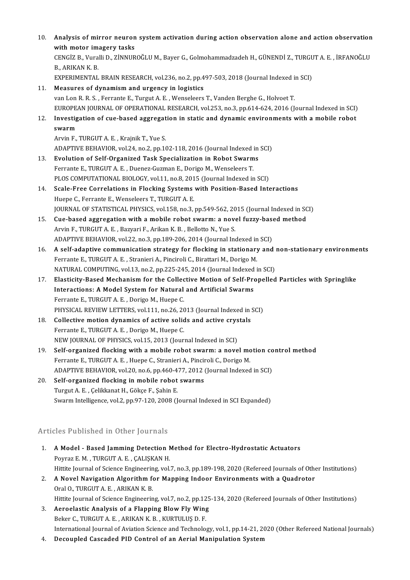10. Analysis of mirror neuron system activation during action observation alone and action observation<br>with matar imagary tacks Analysis of mirror neuron<br>with motor imagery tasks<br>CENCIZ P. Vuralli D. ZINNUP Analysis of mirror neuron system activation during action observation alone and action observation<br>with motor imagery tasks<br>CENGİZ B., Vuralli D., ZİNNUROĞLU M., Bayer G., Golmohammadzadeh H., GÜNENDİ Z., TURGUT A. E. , İR **with motor im**<br>CENGIZ B., Vura<br>B., ARIKAN K. B.<br>EXPEDIMENTAL CENGİZ B., Vuralli D., ZİNNUROĞLU M., Bayer G., Golmohammadzadeh H., GÜNENDİ Z., TURGU<br>B., ARIKAN K. B.<br>EXPERIMENTAL BRAIN RESEARCH, vol.236, no.2, pp.497-503, 2018 (Journal Indexed in SCI)<br>Measures of dunamism and ursensu 11. B., ARIKAN K. B.<br>EXPERIMENTAL BRAIN RESEARCH, vol.236, no.2, pp.497-503, 2018 (Journal Indexed in SCI)<br>11. Measures of dynamism and urgency in logistics van Lon R.R.S., Ferrante E., Turgut A.E., Wenseleers T., Vanden Berghe G., Holvoet T. EUROPEAN JOURNAL OF OPERATIONAL RESEARCH, vol.253, no.3, pp.614-624, 2016 (Journal Indexed in SCI) van Lon R. R. S. , Ferrante E., Turgut A. E. , Wenseleers T., Vanden Berghe G., Holvoet T.<br>EUROPEAN JOURNAL OF OPERATIONAL RESEARCH, vol.253, no.3, pp.614-624, 2016 (Journal Indexed in SCI)<br>12. Investigation of cue-based a EUROPE<sub>4</sub><br>Investig<br>swarm<br>Arvin F Investigation of cue-based aggregat<br>swarm<br>Arvin F., TURGUT A. E. , Krajnik T., Yue S.<br>ADAPTIVE PEHAVIOP, vol 24, no 2, nn 16 swarm<br>Arvin F., TURGUT A. E. , Krajnik T., Yue S.<br>ADAPTIVE BEHAVIOR, vol.24, no.2, pp.102-118, 2016 (Journal Indexed in SCI) 13. Evolution of Self-Organized Task Specialization in Robot Swarms FerranteE.,TURGUTA.E. ,Duenez-GuzmanE.,DorigoM.,WenseleersT. Evolution of Self-Organized Task Specialization in Robot Swarms<br>Ferrante E., TURGUT A. E. , Duenez-Guzman E., Dorigo M., Wenseleers T.<br>PLOS COMPUTATIONAL BIOLOGY, vol.11, no.8, 2015 (Journal Indexed in SCI)<br>Seale Free Corr 14. Scale-Free Correlations in Flocking Systems with Position-Based Interactions<br>Huepe C., Ferrante E., Wenseleers T., TURGUT A. E. PLOS COMPUTATIONAL BIOLOGY, vol.11, no.8, 201<br>Scale-Free Correlations in Flocking Systems<br>Huepe C., Ferrante E., Wenseleers T., TURGUT A. E. JOURNAL OF STATISTICAL PHYSICS, vol.158, no.3, pp.549-562, 2015 (Journal Indexed in SCI) Huepe C., Ferrante E., Wenseleers T., TURGUT A. E.<br>JOURNAL OF STATISTICAL PHYSICS, vol.158, no.3, pp.549-562, 2015 (Journal Indexed in SC<br>15. Cue-based aggregation with a mobile robot swarm: a novel fuzzy-based method<br>Arri Arvin F., TURGUT A. E., Bazyari F., Arikan K. B., Bellotto N., Yue S.<br>ADAPTIVE BEHAVIOR, vol.22, no.3, pp.189-206, 2014 (Journal Indexed in SCI) Cue-based aggregation with a mobile robot swarm: a novel fuzzy-base<br>Arvin F., TURGUT A. E. , Bazyari F., Arikan K. B. , Bellotto N., Yue S.<br>ADAPTIVE BEHAVIOR, vol.22, no.3, pp.189-206, 2014 (Journal Indexed in SCI)<br>A self-16. A self-adaptive communication strategy for flocking in stationary and non-stationary environments Ferrante E., TURGUT A. E., Stranieri A., Pinciroli C., Birattari M., Dorigo M. A self-adaptive communication strategy for flocking in stationary and Ferrante E., TURGUT A. E. , Stranieri A., Pinciroli C., Birattari M., Dorigo M.<br>NATURAL COMPUTING, vol.13, no.2, pp.225-245, 2014 (Journal Indexed in SC Ferrante E., TURGUT A. E., Stranieri A., Pinciroli C., Birattari M., Dorigo M.<br>NATURAL COMPUTING, vol.13, no.2, pp.225-245, 2014 (Journal Indexed in SCI)<br>17. Elasticity-Based Mechanism for the Collective Motion of Self-Pro NATURAL COMPUTING, vol.13, no.2, pp.225-245, 2014 (Journal Indexed<br>Elasticity-Based Mechanism for the Collective Motion of Self-Pre<br>Interactions: A Model System for Natural and Artificial Swarms<br>Ferrante F. TURCUTA E. Deri Elasticity-Based Mechanism for the Collect<br>Interactions: A Model System for Natural<br>Ferrante E., TURGUT A. E., Dorigo M., Huepe C.<br>PHYSICAL PEVIEW LETTERS, vol.111, no.26, 20 Interactions: A Model System for Natural and Artificial Swarms<br>Ferrante E., TURGUT A. E. , Dorigo M., Huepe C.<br>PHYSICAL REVIEW LETTERS, vol.111, no.26, 2013 (Journal Indexed in SCI) Ferrante E., TURGUT A. E., Dorigo M., Huepe C.<br>
PHYSICAL REVIEW LETTERS, vol.111, no.26, 2013 (Journal Indexed in 3<br> **Collective motion dynamics of active solids and active crystals**<br>
Forwards E. TURGUT A. E. Dorigo M. Hue PHYSICAL REVIEW LETTERS, vol.111, no.26, 20<br>Collective motion dynamics of active solid<br>Ferrante E., TURGUT A. E., Dorigo M., Huepe C. Collective motion dynamics of active solids and active crys<br>Ferrante E., TURGUT A. E. , Dorigo M., Huepe C.<br>NEW JOURNAL OF PHYSICS, vol.15, 2013 (Journal Indexed in SCI)<br>Self excapined fleeking with a mabile rebet swerm, a Ferrante E., TURGUT A. E., Dorigo M., Huepe C.<br>NEW JOURNAL OF PHYSICS, vol.15, 2013 (Journal Indexed in SCI)<br>19. Self-organized flocking with a mobile robot swarm: a novel motion control method<br>Forwarts E. TURGUT A. E. Hue NEW JOURNAL OF PHYSICS, vol.15, 2013 (Journal Indexed in SCI)<br>Self-organized flocking with a mobile robot swarm: a novel mo<br>Ferrante E., TURGUT A. E., Huepe C., Stranieri A., Pinciroli C., Dorigo M.<br>ADAPTIVE PEHAVIOP, vol. Self-organized flocking with a mobile robot swarm: a novel motion co<br>Ferrante E., TURGUT A. E. , Huepe C., Stranieri A., Pinciroli C., Dorigo M.<br>ADAPTIVE BEHAVIOR, vol.20, no.6, pp.460-477, 2012 (Journal Indexed in SCI)<br>Se Ferrante E., TURGUT A. E., Huepe C., Stranieri A., Pincin<br>ADAPTIVE BEHAVIOR, vol.20, no.6, pp.460-477, 2012 (<br>20. Self-organized flocking in mobile robot swarms<br>Turgut A. E. Collidianat H. Cälise E. Sabin E. ADAPTIVE BEHAVIOR, vol.20, no.6, pp.460-4<br>Self-organized flocking in mobile robot<br>Turgut A. E. , Çelikkanat H., Gökçe F., Şahin E.<br>Sunam Intelligance vol.2, np.97,120,2008 (I 20. Self-organized flocking in mobile robot swarms<br>Turgut A. E. , Çelikkanat H., Gökçe F., Şahin E.<br>Swarm Intelligence, vol.2, pp.97-120, 2008 (Journal Indexed in SCI Expanded)

### Articles Published in Other Journals

- Similian Commission Commission Commission Control of the Model Based Jamming Detection Method for Electro-Hydrostatic Actuators<br>Deurse E.M., TUBCUT A.E., CALISMAN H NES TUBLISHED IN SCHEN JOUTHULE<br>A Model - Based Jamming Detection N<br>Poyraz E. M. , TURGUT A. E. , ÇALIŞKAN H.<br>Hittite Journal of Science Engineering vol. A Model - Based Jamming Detection Method for Electro-Hydrostatic Actuators<br>Poyraz E. M. , TURGUT A. E. , ÇALIŞKAN H.<br>Hittite Journal of Science Engineering, vol.7, no.3, pp.189-198, 2020 (Refereed Journals of Other Institu Poyraz E. M. , TURGUT A. E. , ÇALIŞKAN H.<br>Hittite Journal of Science Engineering, vol.7, no.3, pp.189-198, 2020 (Refereed Journals of Othor<br>2. A Novel Navigation Algorithm for Mapping Indoor Environments with a Quadrotor<br>0
- Hittite Journal of Science Engineerin<br>A Novel Navigation Algorithm fo<br>Oral O., TURGUT A. E. , ARIKAN K. B.<br>Hittite Journal of Science Engineerin Hittite Journal of Science Engineering, vol.7, no.2, pp.125-134, 2020 (Refereed Journals of Other Institutions)
- 3. Aeroelastic Analysis of a Flapping Blow Fly Wing BekerC.,TURGUTA.E. ,ARIKANK.B. ,KURTULUŞD.F. Aeroelastic Analysis of a Flapping Blow Fly Wing<br>Beker C., TURGUT A. E. , ARIKAN K. B. , KURTULUŞ D. F.<br>International Journal of Aviation Science and Technology, vol.1, pp.14-21, 2020 (Other Refereed National Journals)<br>Des Beker C., TURGUT A. E. , ARIKAN K. B. , KURTULUŞ D. F.<br>International Journal of Aviation Science and Technology, vol.1, pp.14-21, 20<br>4. Decoupled Cascaded PID Control of an Aerial Manipulation System
-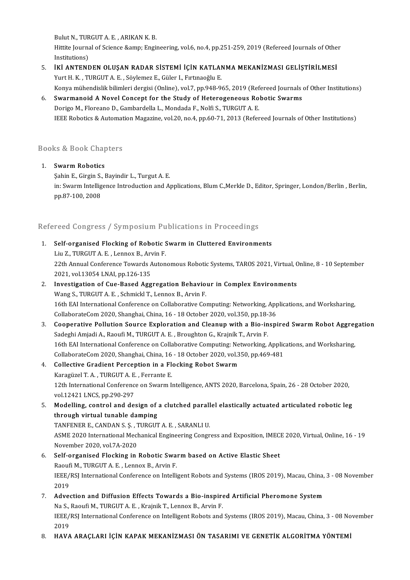Bulut N., TURGUT A. E. , ARIKAN K. B.<br>Hittite Journal of Science Somm, Engi Hittite Journal of Science & Engineering, vol.6, no.4, pp.251-259, 2019 (Refereed Journals of Other<br>Institutions) Bulut N., TUR<br>Hittite Journa<br>Institutions)<br>ivi ANTENE Hittite Journal of Science & Engineering, vol.6, no.4, pp.251-259, 2019 (Refereed Journals of Othe<br>Institutions)<br>5. İKİ ANTENDEN OLUŞAN RADAR SİSTEMİ İÇİN KATLANMA MEKANİZMASI GELİŞTİRİLMESİ<br>Vurt H.K., TURGUT A.E., Söv

## Institutions)<br>İKİ ANTENDEN OLUŞAN RADAR SİSTEMİ İÇİN KATLAI<br>Yurt H. K. , TURGUT A. E. , Söylemez E., Güler I., Fırtınaoğlu E.<br>Konya mühandislik bilimleri dergisi (Online), yol 7, np.948,94 Yurt H. K. , TURGUT A. E. , Söylemez E., Güler I., Fırtınaoğlu E.<br>Konya mühendislik bilimleri dergisi (Online), vol.7, pp.948-965, 2019 (Refereed Journals of Other Institutions) Yurt H. K., TURGUT A. E., Söylemez E., Güler I., Fırtmaoğlu E.<br>Konya mühendislik bilimleri dergisi (Online), vol.7, pp.948-965, 2019 (Refereed Journals of Heterogeneous Robotic Swarms<br>6. Swarmanoid A Novel Concept for the

## Konya mühendislik bilimleri dergisi (Online), vol.7, pp.948-965, 2019 (Ref<br>Swarmanoid A Novel Concept for the Study of Heterogeneous Ro<br>Dorigo M., Floreano D., Gambardella L., Mondada F., Nolfi S., TURGUT A. E.<br>JEEE Boboti Dorigo M., Floreano D., Gambardella L., Mondada F., Nolfi S., TURGUT A. E.<br>IEEE Robotics & Automation Magazine, vol.20, no.4, pp.60-71, 2013 (Refereed Journals of Other Institutions)

# ieee Roboucs & Automat<br>Books & Book Chapters 800ks & Book Chap<br>1. Swarm Robotics<br>Sobin E. Circin S. I

Sahin E., Girgin S., Bayindir L., Turgut A. E.<br>Sahin E., Girgin S., Bayindir L., Turgut A. E.<br>in: Sumum Intelligance Introduction and A.

1. Swarm Robotics<br>Sahin E., Girgin S., Bayindir L., Turgut A. E.<br>in: Swarm Intelligence Introduction and Applications, Blum C.,Merkle D., Editor, Springer, London/Berlin, Berlin,<br>pp.87-100, 2008 Şahin E., Girgin S.,<br>in: Swarm Intellig<br>pp.87-100, 2008

# pp.87-100, 2008<br>Refereed Congress / Symposium Publications in Proceedings

Refereed Congress / Symposium Publications in Proceedings<br>1. Self-organised Flocking of Robotic Swarm in Cluttered Environments<br>1. Self-organised Flocking of Robotic Swarm in Cluttered Environments 1. Self-organised Flocking of Robotic Swarm in Cluttered Environments

22th Annual Conference Towards Autonomous Robotic Systems, TAROS 2021, Virtual, Online, 8 - 10 September 2021, vol. 13054 LNAI, pp. 126-135 Liu Z., TURGUT A. E., Lennox B., Arvin F.

### 2. Investigation of Cue-Based Aggregation Behaviour in Complex Environments Wang S., TURGUT A. E., Schmickl T., Lennox B., Arvin F. Investigation of Cue-Based Aggregation Behaviour in Complex Environments<br>Wang S., TURGUT A. E. , Schmickl T., Lennox B., Arvin F.<br>16th EAI International Conference on Collaborative Computing: Networking, Applications, and Wang S., TURGUT A. E. , Schmickl T., Lennox B., Arvin F.<br>16th EAI International Conference on Collaborative Computing: Networking, App.<br>CollaborateCom 2020, Shanghai, China, 16 - 18 October 2020, vol.350, pp.18-36<br>Connecti 16th EAI International Conference on Collaborative Computing: Networking, Applications, and Worksharing,<br>CollaborateCom 2020, Shanghai, China, 16 - 18 October 2020, vol.350, pp.18-36<br>3. Cooperative Pollution Source Explora CollaborateCom 2020, Shanghai, China, 16 - 18 October 2020, vol.350, pp.18-<br>Cooperative Pollution Source Exploration and Cleanup with a Bio-in<br>Sadeghi Amjadi A., Raoufi M., TURGUT A. E. , Broughton G., Krajník T., Arvin F.

Cooperative Pollution Source Exploration and Cleanup with a Bio-inspired Swarm Robot Aggregation<br>Sadeghi Amjadi A., Raoufi M., TURGUT A. E. , Broughton G., Krajník T., Arvin F.<br>16th EAI International Conference on Collabor Sadeghi Amjadi A., Raoufi M., TURGUT A. E. , Broughton G., Krajník T., Arvin F.<br>16th EAI International Conference on Collaborative Computing: Networking, Applic<br>CollaborateCom 2020, Shanghai, China, 16 - 18 October 2020, v 16th EAI International Conference on Collaborative Computing: Ne<br>CollaborateCom 2020, Shanghai, China, 16 - 18 October 2020, vol.3<br>4. Collective Gradient Perception in a Flocking Robot Swarm<br>Kanagürel T.A., TUBCUTA, E., Fe

- CollaborateCom 2020, Shanghai, China, 16<br>Collective Gradient Perception in a Fl<br>Karagüzel T. A. , TURGUT A. E. , Ferrante E.<br>12th International Conference on Surarm I. Karagüzel T. A., TURGUT A. E., Ferrante E.<br>12th International Conference on Swarm Intelligence, ANTS 2020, Barcelona, Spain, 26 - 28 October 2020, vol.12421 LNCS, pp.290-297 12th International Conference on Swarm Intelligence, ANTS 2020, Barcelona, Spain, 26 - 28 October 2020,<br>vol.12421 LNCS, pp.290-297<br>5. Modelling, control and design of a clutched parallel elastically actuated articulated ro
- vol.12421 LNCS, pp.290-297<br>Modelling, control and design of<br>through virtual tunable damping<br>TANEENER E. CANDAN S. S. TURCUT Modelling, control and design of a clutched parall<br>through virtual tunable damping<br>TANFENER E., CANDAN S. Ş. , TURGUT A. E. , SARANLI U.<br>ASME 2020 International Mechanical Engineering Congr

through virtual tunable damping<br>TANFENER E., CANDAN S. Ş. , TURGUT A. E. , SARANLI U.<br>ASME 2020 International Mechanical Engineering Congress and Exposition, IMECE 2020, Virtual, Online, 16 - 19<br>November 2020, vol.7A-2020 TANFENER E., CANDAN S. Ş. , 7<br>ASME 2020 International Mec<br>November 2020, vol.7A-2020<br>Self exganised Elecking in 6. ASME 2020 International Mechanical Engineering Congress and Exposition, IMEC.<br>November 2020, vol.7A-2020<br>6. Self-organised Flocking in Robotic Swarm based on Active Elastic Sheet<br>Resufi M. TURCUT A. E. Jonney B. Arvin E

## November 2020, vol.7A-2020<br>Self-organised Flocking in Robotic Swa:<br>Raoufi M., TURGUT A. E. , Lennox B., Arvin F.<br>IEEE/PSLInternational Conference on Intelli Self-organised Flocking in Robotic Swarm based on Active Elastic Sheet<br>Raoufi M., TURGUT A. E. , Lennox B., Arvin F.<br>IEEE/RSJ International Conference on Intelligent Robots and Systems (IROS 2019), Macau, China, 3 - 08 Nov Raouf<br>IEEE/<br>2019 IEEE/RSJ International Conference on Intelligent Robots and Systems (IROS 2019), Macau, China,<br>2019<br>7. Advection and Diffusion Effects Towards a Bio-inspired Artificial Pheromone System<br>Ne S. Beaufi M. TUBCUT A. E. Knainik

2019<br>**Advection and Diffusion Effects Towards a Bio-inspire**<br>Na S., Raoufi M., TURGUT A. E. , Krajnik T., Lennox B., Arvin F.<br>IEEE (PSL International Conference on Intelligent Pebets and IEEE/RSJ International Conference on Intelligent Robots and Systems (IROS 2019), Macau, China, 3 - 08 November<br>2019 Na S., Raoufi M., TURGUT A. E., Krajnik T., Lennox B., Arvin F.

#### 8. HAVA ARAÇLARI İÇİN KAPAK MEKANİZMASI ÖN TASARIMI VE GENETİK ALGORİTMA YÖNTEMİ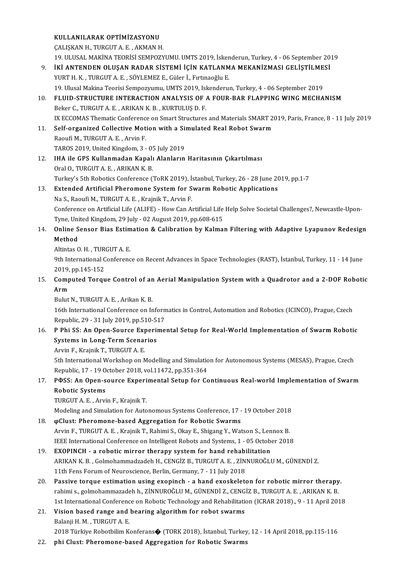KULLANILARAK OPTİMİZASYONU ÇALIŞKANH.,TURGUTA.E. ,AKMANH. KULLANILARAK OPTIMIZASYONU<br>ÇALIŞKAN H., TURGUT A. E. , AKMAN H.<br>19. ULUSAL MAKİNA TEORİSİ SEMPOZYUMU. UMTS 2019, İskenderun, Turkey, 4 - 06 September 2019<br>İKİ ANTENDEN OLUSAN PADAR SİSTEMİ İÇİN KATLANMA MEKANİZMASI CELİSTİ CALIŞKAN H., TURGUT A. E. , AKMAN H.<br>19. ULUSAL MAKİNA TEORİSİ SEMPOZYUMU. UMTS 2019, İskenderun, Turkey, 4 - 06 September 20<br>9. İKİ ANTENDEN OLUŞAN RADAR SİSTEMİ İÇİN KATLANMA MEKANİZMASI GELİŞTİLMESİ<br>2010TH K. TURGUT A E 19. ULUSAL MAKİNA TEORİSİ SEMPOZYUMU. UMTS 2019, İsker<br>**İKİ ANTENDEN OLUŞAN RADAR SİSTEMİ İÇİN KATLANM**<br>YURT H. K. , TURGUT A. E. , SÖYLEMEZ E., Güler İ., Fırtınaoğlu E.<br>19. Ulusal Makina Teorisi Somnozuumu. UMTS 2019, İsk **İKİ ANTENDEN OLUŞAN RADAR SİSTEMİ İÇİN KATLANMA MEKANİZMASI GELİŞTİLME**:<br>YURT H. K. , TURGUT A. E. , SÖYLEMEZ E., Güler İ., Fırtınaoğlu E.<br>19. Ulusal Makina Teorisi Sempozyumu, UMTS 2019, Iskenderun, Turkey, 4 - 06 Septem YURT H. K. , TURGUT A. E. , SÖYLEMEZ E., Güler İ., Fırtınaoğlu E.<br>19. Ulusal Makina Teorisi Sempozyumu, UMTS 2019, Iskenderun, Turkey, 4 - 06 September 2019<br>10. FLUID-STRUCTURE INTERACTION ANALYSIS OF A FOUR-BAR FLAPPING W 19. Ulusal Makina Teorisi Sempozyumu, UMTS 2019, Isl<br>FLUID-STRUCTURE INTERACTION ANALYSIS OF 4<br>Beker C., TURGUT A. E. , ARIKAN K. B. , KURTULUŞ D. F.<br>IV ECCOMAS Thematis Conforence on Smart Structures Beker C., TURGUT A. E. , ARIKAN K. B. , KURTULUŞ D. F.<br>IX ECCOMAS Thematic Conference on Smart Structures and Materials SMART 2019, Paris, France, 8 - 11 July 2019 Beker C., TURGUT A. E., ARIKAN K. B., KURTULUŞ D. F.<br>IX ECCOMAS Thematic Conference on Smart Structures and Materials SMART 2<br>11. Self-organized Collective Motion with a Simulated Real Robot Swarm<br>Basufi M. TURGUT A. E., A IX ECCOMAS Thematic Conference<br>Self-organized Collective Mot<br>Raoufi M., TURGUT A. E., Arvin F.<br>TAROS 2019 United Kingdom 2 Self-organized Collective Motion with a Si<br>Raoufi M., TURGUT A. E. , Arvin F.<br>TAROS 2019, United Kingdom, 3 - 05 July 2019<br>IHA ile CBS Kullanmadan Kanalı Alanların 12. Raoufi M., TURGUT A. E. , Arvin F.<br>12. IHA ile GPS Kullanmadan Kapalı Alanların Haritasının Çıkartılması Oral O., TURGUT A. E., ARIKAN K. B. IHA ile GPS Kullanmadan Kapalı Alanların Haritasının Çıkartılması<br>Oral O., TURGUT A. E. , ARIKAN K. B.<br>Turkey's 5th Robotics Conference (ToRK 2019), İstanbul, Turkey, 26 - 28 June 2019, pp.1-7<br>Eutandad Artificial Pharamana Oral O., TURGUT A. E., ARIKAN K. B.<br>Turkey's 5th Robotics Conference (ToRK 2019), İstanbul, Turkey, 26 - 28 June 20<br>13. Extended Artificial Pheromone System for Swarm Robotic Applications<br>Ne S. Basufi M. TURGUT A. E. Kraja Turkey's 5th Robotics Conference (ToRK 2019), İs<br>**Extended Artificial Pheromone System for S**<br>Na S., Raoufi M., TURGUT A. E. , Krajnik T., Arvin F.<br>Conference on Artificial Life (ALIEE) - How Can Ar Extended Artificial Pheromone System for Swarm Robotic Applications<br>Na S., Raoufi M., TURGUT A. E. , Krajnik T., Arvin F.<br>Conference on Artificial Life (ALIFE) - How Can Artificial Life Help Solve Societal Challenges?, New Na S., Raoufi M., TURGUT A. E. , Krajnik T., Arvin F.<br>Conference on Artificial Life (ALIFE) - How Can Artificial Life<br>Tyne, United Kingdom, 29 July - 02 August 2019, pp.608-615<br>Online Sensen Biss, Estimation & Calibration 14. Conference on Artificial Life (ALIFE) - How Can Artificial Life Help Solve Societal Challenges?, Newcastle-Upon-<br>14. Online Sensor Bias Estimation & Calibration by Kalman Filtering with Adaptive Lyapunov Redesign<br>14. O Tyne, Uni<br>Online S<br>Method **Online Sensor Bias Estim<br>Method<br>Altintas O. H. , TURGUT A. E.<br>9th International Conference** Method<br>Altintas O. H. , TURGUT A. E.<br>9th International Conference on Recent Advances in Space Technologies (RAST), İstanbul, Turkey, 11 - 14 June<br>2019. pp.145-152 Altintas O. H. , TUR<br>9th International C<br>2019, pp.145-152<br>Computed Toray 9th International Conference on Recent Advances in Space Technologies (RAST), İstanbul, Turkey, 11 - 14 June<br>2019, pp.145-152<br>15. Computed Torque Control of an Aerial Manipulation System with a Quadrotor and a 2-DOF Roboti 2019,<br>Comp<br>Arm Computed Torque Control of an<br>Arm<br>Bulut N., TURGUT A. E. , Arikan K. B.<br>16th International Conference on Ir **Arm**<br>Bulut N., TURGUT A. E. , Arikan K. B.<br>16th International Conference on Informatics in Control, Automation and Robotics (ICINCO), Prague, Czech Bulut N., TURGUT A. E. , Arikan K. B.<br>16th International Conference on Inform<br>Republic, 29 - 31 July 2019, pp.510-517<br>B. Bhi SS. An Open Sourse Eunerime 16th International Conference on Informatics in Control, Automation and Robotics (ICINCO), Prague, Czech<br>Republic, 29 - 31 July 2019, pp.510-517<br>16. P Phi SS: An Open-Source Experimental Setup for Real-World Implementation Republic, 29 - 31 July 2019, pp.510-5<br> **P Phi SS: An Open-Source Experii**<br>
Systems in Long-Term Scenarios<br>
Anvin E. Knainik T. TUBCUT A. E. P Phi SS: An Open-Source Exp<br>Systems in Long-Term Scenal<br>Arvin F., Krajnik T., TURGUT A. E.<br>Eth International Workshop op A Systems in Long-Term Scenarios<br>Arvin F., Krajnik T., TURGUT A. E.<br>5th International Workshop on Modelling and Simulation for Autonomous Systems (MESAS), Prague, Czech<br>Rapublia 17, 19 Ostober 2018, vol.11472, pp.351-364. Arvin F., Krajnik T., TURGUT A. E.<br>5th International Workshop on Modelling and Simulatio<br>Republic, 17 - 19 October 2018, vol.11472, pp.351-364<br>ROSS: An Open seures Euperimental Setup for Ge 17. Sth International Workshop on Modelling and Simulation for Autonomous Systems (MESAS), Prague, Czech<br>17. POSS: An Open-source Experimental Setup for Continuous Real-world Implementation of Swarm<br>17. POSS: An Open-sourc Republic, 17 - 19 0<br>PФSS: An Open-s<br>Robotic Systems<br>TUPGUT A E Arri P<mark>OSS: An Open-source Experi</mark><br>Robotic Systems<br>TURGUT A. E. , Arvin F., Krajnik T.<br>Modeling and Simulation for Auto Robotic Systems<br>TURGUT A. E. , Arvin F., Krajnik T.<br>Modeling and Simulation for Autonomous Systems Conference, 17 - 19 October 2018<br>@Clust: Pheremone based Aggregation for Pebetis Systems 19. TURGUT A. E. , Arvin F., Krajnik T.<br>Modeling and Simulation for Autonomous Systems Conference, 17 - 19 October 2018<br>18. φClust: Pheromone-based Aggregation for Robotic Swarms<br>Arvin F., TURGUT A. E. , Krajnik T., Rahim Modeling and Simulation for Autonomous Systems Conference, 17 - 19 October 2018<br> **@Clust: Pheromone-based Aggregation for Robotic Swarms**<br>Arvin F., TURGUT A. E. , Krajnik T., Rahimi S., Okay E., Shigang Y., Watson S., Lenn IEEE International Conference on Intelligent Robots and Systems, 1 - 05 October 2018 Arvin F., TURGUT A. E., Krajnik T., Rahimi S., Okay E., Shigang Y., Watson S., Len<br>IEEE International Conference on Intelligent Robots and Systems, 1 - 05 October<br>19. EXOPINCH - a robotic mirror therapy system for hand reh IEEE International Conference on Intelligent Robots and Systems, 1 - 05 October 2018<br>**EXOPINCH - a robotic mirror therapy system for hand rehabilitation**<br>ARIKAN K. B. , Golmohammadzadeh H., CENGİZ B., TURGUT A. E. , ZİNNUR EXOPINCH - a robotic mirror therapy system for hand rehabi<br>ARIKAN K. B., Golmohammadzadeh H., CENGİZ B., TURGUT A. E., ZİN<br>11th Fens Forum of Neuroscience, Berlin, Germany, 7 - 11 July 2018<br>Pessive tarque estimation using 20. ARIKAN K. B., Golmohammadzadeh H., CENGİZ B., TURGUT A. E., ZİNNUROĞLU M., GÜNENDİ Z.<br>11th Fens Forum of Neuroscience, Berlin, Germany, 7 - 11 July 2018<br>20. Passive torque estimation using exopinch - a hand exoskeleton

- 11th Fens Forum of Neuroscience, Berlin, Germany, 7 11 July 2018<br>Passive torque estimation using exopinch a hand exoskeleton for robotic mirror therapy<br>rahimi s., golmohammazadeh h., ZİNNUROĞLU M., GÜNENDİ Z., CENGİZ B rahimi s., golmohammazadeh h., ZİNNUROĞLU M., GÜNENDİ Z., CENGİZ B., TURGUT A. E. , ARIKAN K. B.<br>1st International Conference on Robotic Technology and Rehabilitation (ICRAR 2018)., 9 - 11 April 2018 rahimi s., golmohammazadeh h., ZİNNUROĞLU M., GÜNENDİ Z., CENG<br>1st International Conference on Robotic Technology and Rehabilitation<br>21. Vision based range and bearing algorithm for robot swarms<br>Relaxii H.M., TURCUT A.E.
- 1st International Conferenc<br>Vision based range and<br>Balanji H. M. , TURGUT A. E.<br>2019 Türkiye Babathilim K. Balanji H. M. , TURGUT A. E.<br>2018 Türkiye Robotbilim Konferans� (TORK 2018), İstanbul, Turkey, 12 - 14 April 2018, pp.115-116
- 22. phi Clust: Pheromone-based Aggregation for Robotic Swarms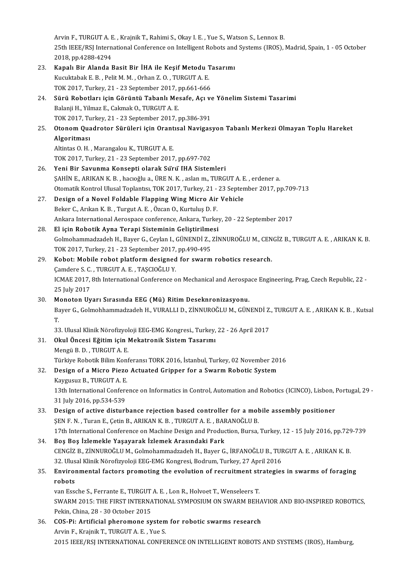Arvin F., TURGUT A. E., Krajnik T., Rahimi S., Okay I. E., Yue S., Watson S., Lennox B. Arvin F., TURGUT A. E. , Krajnik T., Rahimi S., Okay I. E. , Yue S., Watson S., Lennox B.<br>25th IEEE/RSJ International Conference on Intelligent Robots and Systems (IROS), Madrid, Spain, 1 - 05 October Arvin F., TURGUT A. E<br>25th IEEE/RSJ Intern<br>2018, pp.4288-4294<br>Kanal: Bir Alanda L 25th IEEE/RSJ International Conference on Intelligent Robots and<br>2018, pp.4288-4294<br>23. Kapalı Bir Alanda Basit Bir İHA ile Keşif Metodu Tasarımı<br>Kusultabak E.B., Polit M.M., Orban Z.O., TUBCUT A.E.

|     | 2018, pp 4288-4294                                                                                                   |
|-----|----------------------------------------------------------------------------------------------------------------------|
| 23. | Kapalı Bir Alanda Basit Bir İHA ile Keşif Metodu Tasarımı                                                            |
|     | Kucuktabak E. B., Pelit M. M., Orhan Z. O., TURGUT A. E.                                                             |
|     | TOK 2017, Turkey, 21 - 23 September 2017, pp.661-666                                                                 |
| 24. | Sürü Robotları için Görüntü Tabanlı Mesafe, Açı ve Yönelim Sistemi Tasarimi                                          |
|     | Balanji H., Yilmaz E., Cakmak O., TURGUT A. E.                                                                       |
|     | TOK 2017, Turkey, 21 - 23 September 2017, pp 386-391                                                                 |
| 25. | Otonom Quadrotor Sürüleri için Orantısal Navigasyon Tabanlı Merkezi Olmayan Toplu Hareket                            |
|     | Algoritması                                                                                                          |
|     | Altintas O.H., Marangalou K., TURGUT A.E.                                                                            |
|     | TOK 2017, Turkey, 21 - 23 September 2017, pp 697-702                                                                 |
| 26. | Yeni Bir Savunma Konsepti olarak Sürü IHA Sistemleri                                                                 |
|     | ŞAHİN E., ARIKAN K. B., hacıoğlu a., ÜRE N. K., aslan m., TURGUT A. E., erdener a.                                   |
|     | Otomatik Kontrol Ulusal Toplantısı, TOK 2017, Turkey, 21 - 23 September 2017, pp.709-713                             |
| 27. | Design of a Novel Foldable Flapping Wing Micro Air Vehicle                                                           |
|     | Beker C., Arıkan K. B., Turgut A. E., Özcan O., Kurtuluş D. F.                                                       |
|     | Ankara International Aerospace conference, Ankara, Turkey, 20 - 22 September 2017                                    |
| 28. | El için Robotik Ayna Terapi Sisteminin Geliştirilmesi                                                                |
|     | Golmohammadzadeh H., Bayer G., Ceylan I., GÜNENDİ Z., ZİNNUROĞLU M., CENGİZ B., TURGUT A. E. , ARIKAN K. B.          |
|     | TOK 2017, Turkey, 21 - 23 September 2017, pp.490-495                                                                 |
| 29. | Kobot: Mobile robot platform designed for swarm robotics research.                                                   |
|     | Çamdere S. C., TURGUT A. E., TAŞCIOĞLU Y.                                                                            |
|     | ICMAE 2017, 8th International Conference on Mechanical and Aerospace Engineering, Prag, Czech Republic, 22 -         |
|     | 25 July 2017                                                                                                         |
| 30. | Monoton Uyarı Sırasında EEG (Mü) Ritim Deseknronizasyonu.                                                            |
|     | Bayer G., Golmohhammadzadeh H., VURALLI D., ZİNNUROĞLU M., GÜNENDİ Z., TURGUT A. E., ARIKAN K. B., Kutsal            |
|     | T.                                                                                                                   |
|     | 33. Ulusal Klinik Nörofizyoloji EEG-EMG Kongresi., Turkey, 22 - 26 April 2017                                        |
| 31. | Okul Öncesi Eğitim için Mekatronik Sistem Tasarımı                                                                   |
|     | Mengü B.D., TURGUT A.E.                                                                                              |
|     | Türkiye Robotik Bilim Konferansı TORK 2016, İstanbul, Turkey, 02 November 2016                                       |
| 32. | Design of a Micro Piezo Actuated Gripper for a Swarm Robotic System                                                  |
|     | Kaygusuz B., TURGUT A. E.                                                                                            |
|     | 13th International Conference on Informatics in Control, Automation and Robotics (ICINCO), Lisbon, Portugal, 29 -    |
| 33. | 31 July 2016, pp 534-539<br>Design of active disturbance rejection based controller for a mobile assembly positioner |
|     | ŞEN F. N., Turan E., Çetin B., ARIKAN K. B., TURGUT A. E., BARANOĞLU B.                                              |
|     | 17th International Conference on Machine Design and Production, Bursa, Turkey, 12 - 15 July 2016, pp.729-739         |
| 34. | Boş Boş İzlemekle Yaşayarak İzlemek Arasındaki Fark                                                                  |
|     | CENGİZ B., ZİNNUROĞLU M., Golmohammadzadeh H., Bayer G., İRFANOĞLU B., TURGUT A. E., ARIKAN K. B.                    |
|     | 32. Ulusal Klinik Nörofizyoloji EEG-EMG Kongresi, Bodrum, Turkey, 27 April 2016                                      |
| 35. | Environmental factors promoting the evolution of recruitment strategies in swarms of foraging                        |
|     | robots                                                                                                               |
|     | van Essche S., Ferrante E., TURGUT A. E., Lon R., Holvoet T., Wenseleers T.                                          |
|     | SWARM 2015: THE FIRST INTERNATIONAL SYMPOSIUM ON SWARM BEHAVIOR AND BIO-INSPIRED ROBOTICS,                           |
|     | Pekin, China, 28 - 30 October 2015                                                                                   |
| 36. | COS-Pi: Artificial pheromone system for robotic swarms research                                                      |
|     | Arvin F., Krajnik T., TURGUT A. E., Yue S.                                                                           |
|     | 2015 IEEE/RSJ INTERNATIONAL CONFERENCE ON INTELLIGENT ROBOTS AND SYSTEMS (IROS), Hamburg,                            |
|     |                                                                                                                      |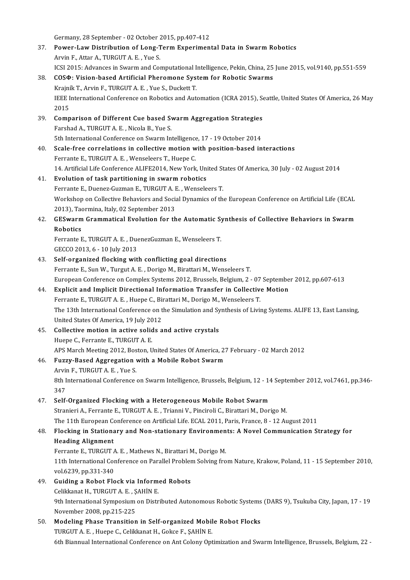Germany, 28 September - 02 October 2015, pp.407-412

- 37. Power-Law Distribution of Long-Term Experimental Data in Swarm Robotics<br>Arvin F., Attar A., TURGUT A. E., Yue S. Germany, 28 September - 02 October 2<br>**Power-Law Distribution of Long-T<br>Arvin F., Attar A., TURGUT A. E. , Yue S.** Power-Law Distribution of Long-Term Experimental Data in Swarm Robotics<br>Arvin F., Attar A., TURGUT A. E. , Yue S.<br>ICSI 2015: Advances in Swarm and Computational Intelligence, Pekin, China, 25 June 2015, vol.9140, pp.551-55
- 38. COSΦ: Vision-based Artificial Pheromone System for Robotic Swarms<br>Krajník T., Arvin F., TURGUT A. E., Yue S., Duckett T. ICSI 2015: Advances in Swarm and Computational I<br>**COSΦ: Vision-based Artificial Pheromone Sys**<br>Krajník T., Arvin F., TURGUT A. E. , Yue S., Duckett T.<br>IEEE International Conference on Bebetics and Aut COSФ: Vision-based Artificial Pheromone System for Robotic Swarms<br>Krajník T., Arvin F., TURGUT A. E. , Yue S., Duckett T.<br>IEEE International Conference on Robotics and Automation (ICRA 2015), Seattle, United States Of Amer Krajní<br>IEEE I<br>2015<br>Comp IEEE International Conference on Robotics and Automation (ICRA 2015), Se<br>2015<br>39. Comparison of Different Cue based Swarm Aggregation Strategies<br>Earshad A. TURCUT A.E. Nigola B. Yue S
- 2015<br>**Comparison of Different Cue based Sy<br>Farshad A., TURGUT A. E. , Nicola B., Yue S.<br>Eth International Conference on Symrm In** Comparison of Different Cue based Swarm Aggregation Strategies<br>Farshad A., TURGUT A. E. , Nicola B., Yue S.<br>5th International Conference on Swarm Intelligence, 17 - 19 October 2014<br>Seale free correlations in sollective mot 5th International Conference on Swarm Intelligence, 17 - 19 October 2014
- Farshad A., TURGUT A. E., Nicola B., Yue S.<br>5th International Conference on Swarm Intelligence, 17 19 October 2014<br>40. Scale-free correlations in collective motion with position-based interactions<br>Ferrante E., TURGUT A. Scale-free correlations in collective motion with position-based interactions<br>Ferrante E., TURGUT A. E. , Wenseleers T., Huepe C.<br>14. Artificial Life Conference ALIFE2014, New York, United States Of America, 30 July - 02 A

## 41. Evolution of task partitioning in swarm robotics 14. Artificial Life Conference ALIFE2014, New York, United St<br>**Evolution of task partitioning in swarm robotics**<br>Ferrante E., Duenez-Guzman E., TURGUT A. E. , Wenseleers T.<br>Werkeben en Collective Pebeviers and Social Dynam Workshop on Collective Behaviors and Social Dynamics of the European Conference on Artificial Life (ECAL 2013), Taormina, Italy, 02 September 2013 Ferrante E., Duenez-Guzman E., TURGUT A. E., Wenseleers T. Workshop on Collective Behaviors and Social Dynamics of the European Conference on Artificial Life (ECAL 2013), Taormina, Italy, 02 September 2013<br>42. GESwarm Grammatical Evolution for the Automatic Synthesis of Collective

## 2013), Tack<br>**GESwarm**<br>Robotics<br>Ecuranta E GESwarm Grammatical Evolution for the Automatic Sy<br>Robotics<br>Ferrante E., TURGUT A. E. , DuenezGuzman E., Wenseleers T.<br>CECCO 2012 6 - 10 July 2012

Robotics<br>Ferrante E., TURGUT A. E. , DuenezGuzman E., Wenseleers T.<br>GECCO 2013, 6 - 10 July 2013

## 43. Self-organized flocking with conflicting goal directions Ferrante E., Sun W., Turgut A. E., Dorigo M., Birattari M., Wenseleers T. Self-organized flocking with conflicting goal directions<br>Ferrante E., Sun W., Turgut A. E. , Dorigo M., Birattari M., Wenseleers T.<br>European Conference on Complex Systems 2012, Brussels, Belgium, 2 - 07 September 2012, pp. Ferrante E., Sun W., Turgut A. E., Dorigo M., Birattari M., Wenseleers T.<br>European Conference on Complex Systems 2012, Brussels, Belgium, 2 - 07 Septembe<br>44. Explicit and Implicit Directional Information Transfer in Collec

## European Conference on Complex Systems 2012, Brussels, Belgium, 2 - 07<br>**Explicit and Implicit Directional Information Transfer in Collective**<br>Ferrante E., TURGUT A. E. , Huepe C., Birattari M., Dorigo M., Wenseleers T.<br>The Explicit and Implicit Directional Information Transfer in Collective Motion<br>Ferrante E., TURGUT A. E. , Huepe C., Birattari M., Dorigo M., Wenseleers T.<br>The 13th International Conference on the Simulation and Synthesis of Ferrante E., TURGUT A. E. , Huepe C., Biff<br>The 13th International Conference on t<br>United States Of America, 19 July 2012<br>Collective motion in estive solids a

45. Collective motion in active solids and active crystals<br>Huepe C., Ferrante E., TURGUT A. E. United States Of America, 19 July 20<br>**Collective motion in active solid**<br>Huepe C., Ferrante E., TURGUT A. E. Collective motion in active solids and active crystals<br>Huepe C., Ferrante E., TURGUT A. E.<br>APS March Meeting 2012, Boston, United States Of America, 27 February - 02 March 2012<br>Fuggy Bosed Aggregation with a Mobile Bobet S

## 46. Fuzzy-Based Aggregation with a Mobile Robot Swarm<br>Arvin F., TURGUT A. E., Yue S.

APS March Meeting 2012, Bos<br>Fuzzy-Based Aggregation<br>Arvin F., TURGUT A. E. , Yue S.<br><sup>9th Intornational Conference</sup> Fuzzy-Based Aggregation with a Mobile Robot Swarm<br>Arvin F., TURGUT A. E. , Yue S.<br>8th International Conference on Swarm Intelligence, Brussels, Belgium, 12 - 14 September 2012, vol.7461, pp.346-<br>247 Arvii<br>8th I<br>347 8th International Conference on Swarm Intelligence, Brussels, Belgium, 12 - 14<br>347. Self-Organized Flocking with a Heterogeneous Mobile Robot Swarm<br>Straniani A. Forranta E. TUBCUT A. E. Trianni V. Bingiroli C. Birattari M.

347<br>Self-Organized Flocking with a Heterogeneous Mobile Robot Swarm<br>Stranieri A., Ferrante E., TURGUT A. E. , Trianni V., Pinciroli C., Birattari M., Dorigo M. Self-Organized Flocking with a Heterogeneous Mobile Robot Swarm<br>Stranieri A., Ferrante E., TURGUT A. E. , Trianni V., Pinciroli C., Birattari M., Dorigo M.<br>The 11th European Conference on Artificial Life. ECAL 2011, Paris,

## 48. Flocking in Stationary and Non-stationary Environments: A Novel Communication Strategy for The 11th European Control<br>Flocking in Stationa<br>Heading Alignment<br>Ferrante E. TUBCUT

Flocking in Stationary and Non-stationary Environmen<br>Heading Alignment<br>Ferrante E., TURGUT A. E. , Mathews N., Birattari M., Dorigo M.<br>11th International Conference on Parallel Broblem Solving fro 11th International Conference on Parallel Problem Solving from Nature, Krakow, Poland, 11 - 15 September 2010, vol.6239, pp.331-340 Ferrante E., TURGUT A<br>11th International Cor<br>vol.6239, pp.331-340<br>Cuiding a Bobot Elo 11th International Conference on Parallel Problem<br>vol.6239, pp.331-340<br>49. Guiding a Robot Flock via Informed Robots<br>Colibians H. TURCUT A E. SAHINE

## vol.6239, pp.331-340<br>Guiding a Robot Flock via Inform<br>Celikkanat H., TURGUT A. E. , ŞAHİN E.<br>9th International Sumposium on Distr Guiding a Robot Flock via Informed Robots<br>Celikkanat H., TURGUT A. E. , ŞAHİN E.<br>9th International Symposium on Distributed Autonomous Robotic Systems (DARS 9), Tsukuba City, Japan, 17 - 19<br>Navember 2008, np 215, 225 Celikkanat H., TURGUT A. E. , Ş<br>9th International Symposium<br>November 2008, pp.215-225<br>Modeling Phase Transition 9th International Symposium on Distributed Autonomous Robotic Systems<br>November 2008, pp.215-225<br>50. Modeling Phase Transition in Self-organized Mobile Robot Flocks<br>TUDCUT A E Huene C Colikianst H Cokee E SAHIN E

November 2008, pp.215-225<br>Modeling Phase Transition in Self-organized Mobile Robot Flocks<br>TURGUT A. E. , Huepe C., Celikkanat H., Gokce F., ŞAHİN E. 6th Biannual International Conference on Ant Colony Optimization and Swarm Intelligence, Brussels, Belgium, 22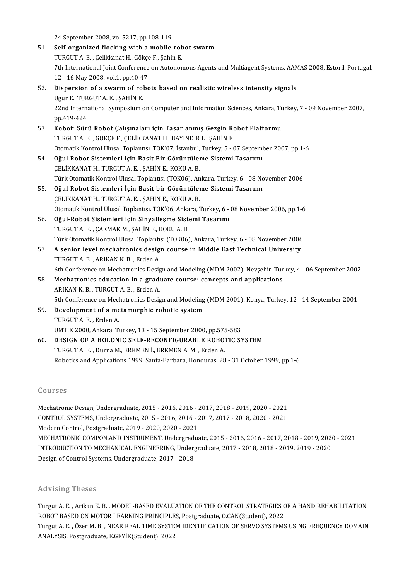24September 2008,vol.5217,pp.108-119

51. Self-organized flocking with a mobile robot swarm 24 September 2008, vol.5217, pp.108-119<br>Self-organized flocking with a mobile rob<br>TURGUT A. E., Çelikkanat H., Gökçe F., Şahin E.<br>7th International Jeint Conference en Autonon 7th International Joint Conference on Autonomous Agents and Multiagent Systems, AAMAS 2008, Estoril, Portugal,<br>12 - 16 May 2008, vol.1, pp.40-47 TURGUT A. E. , Çelikkanat H., Gökçe<br>7th International Joint Conference<br>12 - 16 May 2008, vol.1, pp.40-47<br>Dispersion of a swarm of robe 52. Dispersion of a swarmof robots based on realisticwireless intensity signals 12 - 16 May 2008, vol.1, pp.40-4<br>Dispersion of a swarm of rol<br>Ugur E., TURGUT A. E. , ŞAHİN E.<br>22nd International Sumposium e

22nd International Symposium on Computer and Information Sciences, Ankara, Turkey, 7 - 09 November 2007, pp.419-424 Ugur E., TUR<br>22nd Interna<br>pp.419-424<br>Kobot: Süri 22nd International Symposium on Computer and Information Sciences, Ankara, Tu<br>pp.419-424<br>53. Kobot: Sürü Robot Çalışmaları için Tasarlanmış Gezgin Robot Platformu<br>TUDCUT A E. CÖKCE E. CELİKKANAT U. BAYINDIR L. SAHİN E.

- pp.419-424<br><mark>Kobot: Sürü Robot Çalışmaları için Tasarlanmış Gezgin Ro</mark><br>TURGUT A. E. , GÖKÇE F., ÇELİKKANAT H., BAYINDIR L., ŞAHİN E.<br>Otamatik Kantral Ulusal Taplantısı TOK'07, İstanbul Turkay E., G TURGUT A. E. , GÖKÇE F., ÇELİKKANAT H., BAYINDIR L., ŞAHİN E.<br>Otomatik Kontrol Ulusal Toplantısı. TOK'07, İstanbul, Turkey, 5 - 07 September 2007, pp.1-6
- 54. Oğul Robot Sistemleri için Basit Bir Görüntüleme Sistemi Tasarımı ÇELİKKANATH., TURGUTA E., ŞAHİN E., KOKUA.B. Oğul Robot Sistemleri için Basit Bir Görüntüleme Sistemi Tasarımı<br>ÇELİKKANAT H., TURGUT A. E. , ŞAHİN E., KOKU A. B.<br>Türk Otomatik Kontrol Ulusal Toplantısı (TOK06), Ankara, Turkey, 6 - 08 November 2006<br>Qğul Robot Sistemle CELİKKANAT H., TURGUT A. E. , ŞAHİN E., KOKU A. B.<br>Türk Otomatik Kontrol Ulusal Toplantısı (TOK06), Ankara, Turkey, 6 - 08 No.<br>55. Oğul Robot Sistemleri İçin Basit bir Görüntüleme Sistemi Tasarımı<br>CELİKKANAT H. TURCUT A. E
- Türk Otomatik Kontrol Ulusal Toplantısı (TOK06), An<br>**Oğul Robot Sistemleri İçin Basit bir Görüntüle**<br>ÇELİKKANAT H., TURGUT A. E. , ŞAHİN E., KOKU A. B.<br>Otomatik Kontrol Ulusal Toplantısı, TOK'06, Ankara İ 55. Oğul Robot Sistemleri İçin Basit bir Görüntüleme Sistemi Tasarımı<br>ÇELİKKANAT H., TURGUT A. E. , ŞAHİN E., KOKU A. B.<br>Otomatik Kontrol Ulusal Toplantısı. TOK'06, Ankara, Turkey, 6 - 08 November 2006, pp.1-6
- 56. Oğul-Robot Sistemleri için Sinyalleşme Sistemi Tasarımı TURGUT A.E., ÇAKMAK M., ŞAHİN E., KOKU A.B. Oğul-Robot Sistemleri için Sinyalleşme Sistemi Tasarımı<br>TURGUT A. E. , ÇAKMAK M., ŞAHİN E., KOKU A. B.<br>Türk Otomatik Kontrol Ulusal Toplantısı (TOK06), Ankara, Turkey, 6 - 08 November 2006<br>A soniar laval mashatraniss dasin
- 57. A senior level mechatronics design course in Middle East Technical University<br>TURGUT A. E., ARIKAN K. B., Erden A. Türk Otomatik Kontrol Ulusal Toplantı:<br>A senior level mechatronics desig<br>TURGUT A. E. , ARIKAN K. B. , Erden A.<br>6th Conference en Mechatronics Desig A senior level mechatronics design course in Middle East Technical University<br>TURGUT A. E. , ARIKAN K. B. , Erden A.<br>6th Conference on Mechatronics Design and Modeling (MDM 2002), Nevşehir, Turkey, 4 - 06 September 2002<br>Me TURGUT A. E., ARIKAN K. B., Erden A.<br>6th Conference on Mechatronics Design and Modeling (MDM 2002), Nevşehir, Tur<br>58. Mechatronics education in a graduate course: concepts and applications<br>ADIYAN V. P., TURGUT A. F., Erden
- 6th Conference on Mechatronics Design<br>**Mechatronics education in a grad**i<br>ARIKAN K. B. , TURGUT A. E. , Erden A.<br>Eth Conference on Mechatronics Desig Mechatronics education in a graduate course: concepts and applications<br>ARIKAN K. B. , TURGUT A. E. , Erden A.<br>5th Conference on Mechatronics Design and Modeling (MDM 2001), Konya, Turkey, 12 - 14 September 2001<br>Development ARIKAN K. B., TURGUT A. E., Erden A.<br>5th Conference on Mechatronics Design and Modeling<br>59. Development of a metamorphic robotic system<br>TUPCUT A. E. Erden A.
- 5th Conference on Mech<br>Development of a me<br>TURGUT A. E. , Erden A.<br>UMTIK 2000, Ankara, T. Development of a metamorphic robotic system<br>TURGUT A. E. , Erden A.<br>UMTIK 2000, Ankara, Turkey, 13 - 15 September 2000, pp.575-583<br>DESICN OF A HOLONIC SELE RECONEICURAPLE ROPOTIC SY
- TURGUT A. E. , Erden A.<br>UMTIK 2000, Ankara, Turkey, 13 15 September 2000, pp.575-583<br>60. DESIGN OF A HOLONIC SELF-RECONFIGURABLE ROBOTIC SYSTEM<br>TURGUT A. E. , Durna M., ERKMEN İ., ERKMEN A. M. , Erden A. UMTIK 2000, Ankara, Turkey, 13 - 15 September 2000, pp.57!<br>DESIGN OF A HOLONIC SELF-RECONFIGURABLE ROBOT<br>TURGUT A. E. , Durna M., ERKMEN İ., ERKMEN A. M. , Erden A.<br>Rebetirs and Annligations 1999, Santa Barbara, Hondures, Robotics and Applications 1999, Santa-Barbara, Honduras, 28 - 31 October 1999, pp.1-6

#### Courses

MechatronicDesign,Undergraduate,2015-2016,2016-2017,2018-2019,2020-2021 Sourbos<br>Mechatronic Design, Undergraduate, 2015 - 2016, 2016 - 2017, 2018 - 2019, 2020 - 2021<br>CONTROL SYSTEMS, Undergraduate, 2015 - 2016, 2016 - 2017, 2017 - 2018, 2020 - 2021<br>Medern Control Pestareduate, 2019, 2020, 2020 Mechatronic Design, Undergraduate, 2015 - 2016, 2016 - 2<br>CONTROL SYSTEMS, Undergraduate, 2015 - 2016, 2016 - 2<br>Modern Control, Postgraduate, 2019 - 2020, 2020 - 2021<br>MECHATRONIC COMBON AND INSTRUMENT, Undergradu Modern Control, Postgraduate, 2019 - 2020, 2020 - 2021<br>MECHATRONIC COMPON.AND INSTRUMENT, Undergraduate, 2015 - 2016, 2016 - 2017, 2018 - 2019, 2020 - 2021 Modern Control, Postgraduate, 2019 - 2020, 2020 - 2021<br>MECHATRONIC COMPON.AND INSTRUMENT, Undergraduate, 2015 - 2016, 2016 - 2017, 2018 - 2019, 2020<br>INTRODUCTION TO MECHANICAL ENGINEERING, Undergraduate, 2017 - 2018, 2018 MECHATRONIC COMPON.AND INSTRUMENT, Undergradı<br>INTRODUCTION TO MECHANICAL ENGINEERING, Underg<br>Design of Control Systems, Undergraduate, 2017 - 2018 Design of Control Systems, Undergraduate, 2017 - 2018<br>Advising Theses

Advising Theses<br>Turgut A. E. , Arikan K. B. , MODEL-BASED EVALUATION OF THE CONTROL STRATEGIES OF A HAND REHABILITATION<br>ROBOT RASED ON MOTOR LEARNING RRINGIN ES. Restanduste O.CAN(Student), 2022 ravionig Treses<br>Turgut A. E. , Arikan K. B. , MODEL-BASED EVALUATION OF THE CONTROL STRATEGIES C<br>ROBOT BASED ON MOTOR LEARNING PRINCIPLES, Postgraduate, O.CAN(Student), 2022<br>Turgut A. E., Öser M. B., NEAR REAL TIME SYSTEM Turgut A. E. , Arikan K. B. , MODEL-BASED EVALUATION OF THE CONTROL STRATEGIES OF A HAND REHABILITATION<br>ROBOT BASED ON MOTOR LEARNING PRINCIPLES, Postgraduate, O.CAN(Student), 2022<br>Turgut A. E. , Özer M. B. , NEAR REAL TIM ROBOT BASED ON MOTOR LEARNING PRINCIPLE<br>Turgut A. E. , Özer M. B. , NEAR REAL TIME SYSTE<br>ANALYSIS, Postgraduate, E.GEYİK(Student), 2022